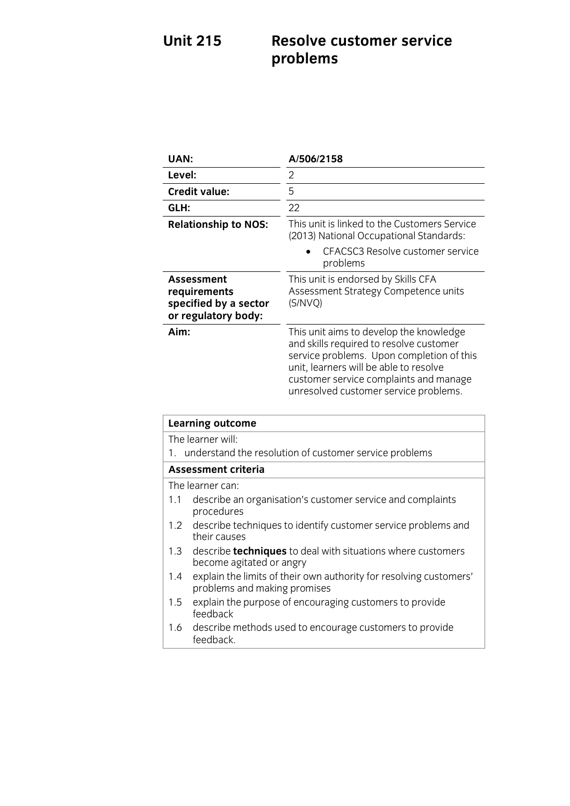### **Unit 215 Resolve customer service problems**

| UAN:                                                                       | A/506/2158                                                                                                                                                                                                                                                   |
|----------------------------------------------------------------------------|--------------------------------------------------------------------------------------------------------------------------------------------------------------------------------------------------------------------------------------------------------------|
| Level:                                                                     | 2                                                                                                                                                                                                                                                            |
| <b>Credit value:</b>                                                       | 5                                                                                                                                                                                                                                                            |
| GLH:                                                                       | 22                                                                                                                                                                                                                                                           |
| <b>Relationship to NOS:</b>                                                | This unit is linked to the Customers Service<br>(2013) National Occupational Standards:                                                                                                                                                                      |
|                                                                            | CFACSC3 Resolve customer service<br>problems                                                                                                                                                                                                                 |
| Assessment<br>requirements<br>specified by a sector<br>or regulatory body: | This unit is endorsed by Skills CFA<br>Assessment Strategy Competence units<br>(S/NVO)                                                                                                                                                                       |
| Aim:                                                                       | This unit aims to develop the knowledge<br>and skills required to resolve customer<br>service problems. Upon completion of this<br>unit, learners will be able to resolve<br>customer service complaints and manage<br>unresolved customer service problems. |

| <b>Learning outcome</b>                                   |                                                                                                    |
|-----------------------------------------------------------|----------------------------------------------------------------------------------------------------|
| The learner will:                                         |                                                                                                    |
| 1. understand the resolution of customer service problems |                                                                                                    |
| Assessment criteria                                       |                                                                                                    |
|                                                           | The learner can:                                                                                   |
| 1.1                                                       | describe an organisation's customer service and complaints<br>procedures                           |
|                                                           | 1.2 describe techniques to identify customer service problems and<br>their causes                  |
| 1.3                                                       | describe <b>techniques</b> to deal with situations where customers<br>become agitated or angry     |
| 1.4                                                       | explain the limits of their own authority for resolving customers'<br>problems and making promises |
| 1.5                                                       | explain the purpose of encouraging customers to provide<br>feedback                                |
| 1.6                                                       | describe methods used to encourage customers to provide<br>feedback.                               |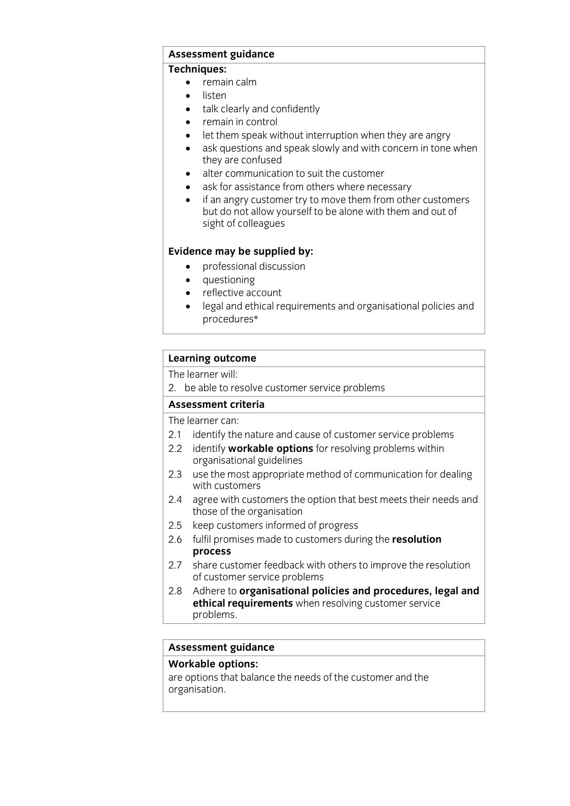## **Assessment guidance**

- **•** remain calm
	- listen<br>• <sup>talk</sup> c
	- talk clearly and confidently
	- remain in control
	- let them speak without interruption when they are angry
	- ask questions and speak slowly and with concern in tone when they are confused
	- $\bullet$  alter communication to suit the customer
	- ask for assistance from others where necessary<br>• if an angry customer try to move them from other
	- if an angry customer try to move them from other customers<br>but do not allow yourself to be alone with them and out of sight of colleagues sight of collections of collections of collections of collections of collections of collections of collections <br>Sections of collections of collections of collections of collections of collections of collections of collecti

- **Evidence** may be supplied by:
	- questioning
	- reflective account
	- legal and ethical requirements and organisational policies and procedures\*

# **Learning outcome**<br>The learner will:

2. be able to resolve customer service problems

### Assessment criteria

The learner can:

- 2.1 identify the nature and cause of customer service problems
- 2.2 identify **workable options** for resolving problems within organisational guidelines
- 2.3 use the most appropriate method of communication for dealing with customers
- 2.4 agree with customers the option that best meets their needs and those of the organisation
- 2.5 keep customers informed of progress
- 2.5 keep customers in the progress 2.6 fulfil promises made to customers during the **resolution**
- share customer feedback with others to improve the resolution 2.7 share customer feedback with of customer service problems
- Adhere to **organisational policies and procedures, legal and** 2.8 Adhere to **organisational policies and procedures, le**<br> **ethical requirements** when resolving customer service **broblems**. problems.

# **Assessment guidance**

are options that balance the needs of the customer and the organisation. organisation.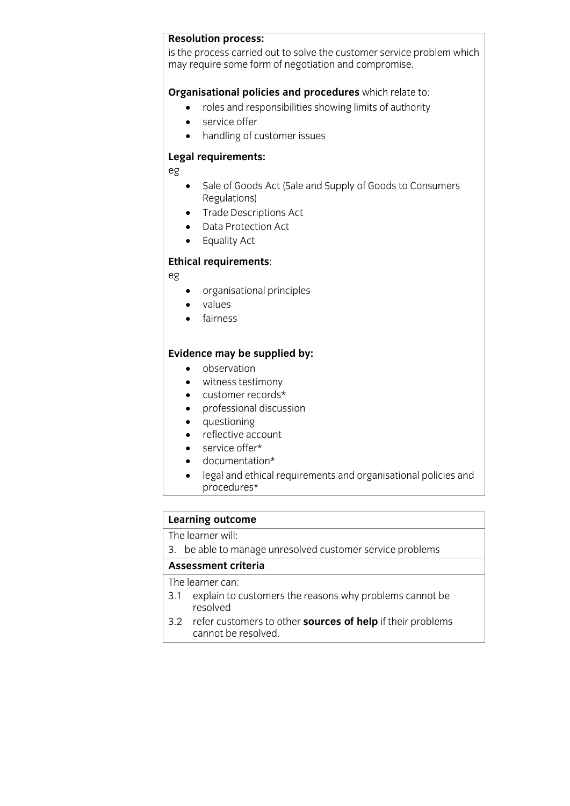**Resolution process:**<br>is the process carried out to solve the customer service problem which is the process carried customer and concerned control problem military.<br>may require some form of negotiation and compromise may require some form of negotiation and compromise.

- **Cross and responsibilities showing limits of authority** 
	- service offer
	- handling of customer issues

### **Legal requirements:**

eg

- Sale of Goods Act (Sale and Supply of Goods to Consumers<br>Regulations)
- Trade Descriptions Act
- Data Protection Act
- Equality Act

### **Ethical requirements**:

eg

- organisational principles
- values
- fairness

- **Existence may be supplied by:**<br> **o** observation
	- witness testimony
	- customer records\*
	- professional discussion
	- questioning
	- reflective account
	- service offer\*
	- documentation\*<br>• legal and ethical
	- legal and ethical requirements and organisational policies and procedures the second second second second second second second second second second second second second second second second second second second second second second second second second second second second second seco

# **Learning outcome**<br>The learner will:

 $2 \cdot$  he able to m  $\frac{3}{2}$ . because unresolved customer service problems

**Assessment criteria**<br>The learner can:

- 3.1 explain to customers the reasons why problems cannot be resolved
- 3.2 refer customers to other **sources of help** if their problems cannot be resolved. <u>cannot be resolved.</u>